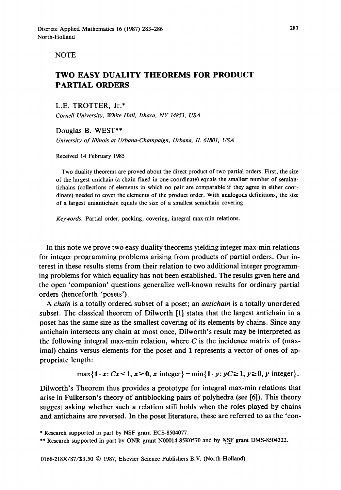**NOTE** 

## TWO EASY DUALITY THEOREMS FOR PRODUCT **PARTIAL** ORDERS

**L.E. TROTTER, Jr.\***  *Cornell University, White Hall, Ithaca, NY 14853, USA* 

Douglas B. WEST\*\*

*University of Illinois at Urbana-Champaign, Urbana, IL 61801, USA* 

Received 14 February 1985

Two duality theorems are proved about the direct product of two partial orders. First, the size of the largest unichain (a chain fixed in one coordinate) equals the smallest number of semiantichains (collections of elements in which no pair are comparable if they agree in either coordinate) needed to cover the elements of the product order. With analogous definitions, the size of a largest uniantichain equals the size of a smallest semichain covering.

*Keywords*. Partial order, packing, covering, integral max-min relations.

In this note we prove two easy duality theorems yielding integer max-min relations for integer programming problems arising from products of partial orders. Our interest in these results stems from their relation to two additional integer programming problems for which equality has not been established. The results given here and the open 'companion' questions generalize well-known results for ordinary partial orders (henceforth 'posets').

*A chain* is a totally ordered subset of a poset; an *antichain* is a totally unordered subset. The classical theorem of Dilworth [1] states that the largest antichain in a poset has the same size as the smallest covering of its elements by chains. Since any antichain intersects any chain at most once, Dilworth's result may be interpreted as the following integral max-min relation, where  $C$  is the incidence matrix of (maximal) chains versus elements for the poset and 1 represents a vector of ones of appropriate length:

$$
\max\{1\cdot x\colon Cx\leq 1,\,x\geq 0,\,x\text{ integer}\}=\min\{1\cdot y\colon yC\geq 1,\,y\geq 0,\,y\text{ integer}\}.
$$

Dilworth's Theorem thus provides a prototype for integral max-min relations that arise in Fulkerson's theory of antiblocking pairs of polyhedra (see [6]). This theory suggest asking whether such a relation still holds when the roles played by chains and antichains are reversed. In the poset literature, these are referred to as the 'con-

<sup>\*</sup> Research supported in part by NSF grant ECS-8504077.

<sup>\*\*</sup> Research supported in part by ONR grant N00014-85K0570 and by NSF grant DMS-8504322.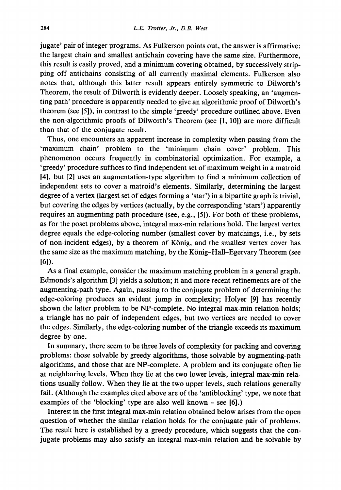jugate' pair of integer programs. As Fulkerson points out, the answer is affirmative: the largest chain and smallest antichain covering have the same size. Furthermore, this result is easily proved, and a minimum covering obtained, by successively stripping off antichains consisting of all currently maximal elements. Fulkerson also notes that, although this latter result appears entirely symmetric to Dilworth's Theorem, the result of Dilworth is evidently deeper. Loosely speaking, an 'augmenting path' procedure is apparently needed to give an algorithmic proof of Dilworth's theorem (see [5]), in contrast to the simple 'greedy' procedure outlined above. Even the non-algorithmic proofs of Dilworth's Theorem (see [1, 10]) are more difficult than that of the conjugate result.

Thus, one encounters an apparent increase in complexity when passing from the 'maximum chain' problem to the 'minimum chain cover' problem. This phenomenon occurs frequently in combinatorial optimization. For example, a 'greedy' procedure suffices to find independent set of maximum weight in a matroid [4], but [2] uses an augmentation-type algorithm to find a minimum collection of independent sets to cover a matroid's elements. Similarly, determining the largest degree of a vertex (largest set of edges forming a 'star') in a bipartite graph is trivial, but covering the edges by vertices (actually, by the corresponding 'stars') apparently requires an augmenting path procedure (see, e.g., [5]). For both of these problems, as for the poset problems above, integral max-min relations hold. The largest vertex degree equals the edge-coloring number (smallest cover by matchings, i.e., by sets of non-incident edges), by a theorem of K6nig, and the smallest vertex cover has the same size as the maximum matching, by the König-Hall-Egervary Theorem (see [61).

As a final example, consider the maximum matching problem in a general graph. Edmonds's algorithm [3] yields a solution; it and more recent refinements are of the augmenting-path type. Again, passing to the conjugate problem of determining the edge-coloring produces an evident jump in complexity; Holyer [9] has recently shown the latter problem to be NP-complete. No integral max-min relation holds; a triangle has no pair of independent edges, but two vertices are needed to cover the edges. Similarly, the edge-coloring number of the triangle exceeds its maximum degree by one.

In summary, there seem to be three levels of complexity for packing and covering problems: those solvable by greedy algorithms, those solvable by augmenting-path algorithms, and those that are NP-complete. A problem and its conjugate often lie at neighboring levels. When they lie at the two lower levels, integral max-min relations usually follow. When they lie at the two upper levels, such relations generally fail. (Although the examples cited above are of the 'antiblocking' type, we note that examples of the 'blocking' type are also well known – see [6].)

Interest in the first integral max-min relation obtained below arises from the open question of whether the similar relation holds for the conjugate pair of problems. The result here is established by a greedy procedure, which suggests that the conjugate problems may also satisfy an integral max-min relation and be solvable by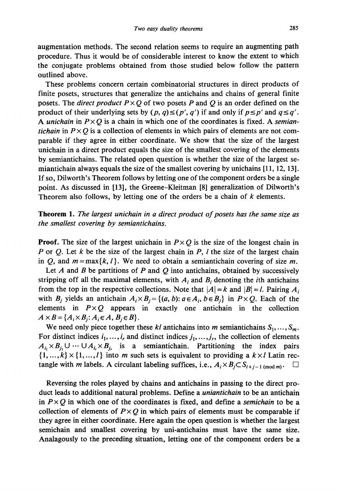augmentation methods. The second relation seems to require an augmenting path procedure. Thus it would be of considerable interest to know the extent to which the conjugate problems obtained from those studied below follow the pattern outlined above.

These problems concern certain combinatorial structures in direct products of finite posets, structures that generalize the antichains and chains of general finite posets. The *direct product*  $P \times Q$  of two posets P and Q is an order defined on the product of their underlying sets by  $(p, q) \leq (p', q')$  if and only if  $p \leq p'$  and  $q \leq q'$ . A *unichain* in  $P \times Q$  is a chain in which one of the coordinates is fixed. A *semiantichain* in  $P \times Q$  is a collection of elements in which pairs of elements are not comparable if they agree in either coordinate. We show that the size of the largest unichain in a direct product equals the size of the smallest covering of the elements by semiantichains. The related open question is whether the size of the largest semiantichain always equals the size of the smallest covering by unichains [11, 12, 13]. If so, Dilworth's Theorem follows by letting one of the component orders be a single point. As discussed in [13], the Greene-Kleitman [8] generalization of Dilworth's Theorem also follows, by letting one of the orders be a chain of  $k$  elements.

**Theorem** 1. *The largest unichain in a direct product of posets has the same size as the smallest covering by semiantichains.* 

**Proof.** The size of the largest unichain in  $P \times Q$  is the size of the longest chain in P or Q. Let k be the size of the largest chain in P, I the size of the largest chain in Q, and  $m = \max\{k, l\}$ . We need to obtain a semiantichain covering of size m.

Let A and B be partitions of P and Q into antichains, obtained by successively stripping off all the maximal elements, with  $A_i$  and  $B_i$  denoting the *i*th antichains from the top in the respective collections. Note that  $|A| = k$  and  $|B| = l$ . Pairing  $A_i$ with  $B_i$  yields an antichain  $A_i \times B_j = \{(a, b): a \in A_i, b \in B_j\}$  in  $P \times Q$ . Each of the elements in  $P \times Q$  appears in exactly one antichain in the collection  $A \times B = \{A_i \times B_i : A_i \in A, B_i \in B\}.$ 

We need only piece together these  $kl$  antichains into m semiantichains  $S_1, \ldots, S_m$ . For distinct indices  $i_1, \ldots, i_r$  and distinct indices  $j_1, \ldots, j_r$ , the collection of elements  $A_i \times B_i$ ,  $\cup \cdots \cup A_i \times B_i$ , is a semiantichain. Partitioning the index pairs  $\{1,...,k\} \times \{1,...,l\}$  into *m* such sets is equivalent to providing a  $k \times l$  Latin rectangle with *m* labels. A circulant labeling suffices, i.e.,  $A_i \times B_j \subset S_{i+j-1 \pmod{m}}$ .

Reversing the roles played by chains and antichains in passing to the direct product leads to additional natural problems. Define a *uniantichain* to be an antichain in  $P \times Q$  in which one of the coordinates is fixed, and define a *semichain* to be a collection of elements of  $P \times Q$  in which pairs of elements must be comparable if they agree in either coordinate. Here again the open question is whether the largest semichain and smallest covering by uni-antichains must have the same size. Analagously to the preceding situation, letting one of the component orders be a